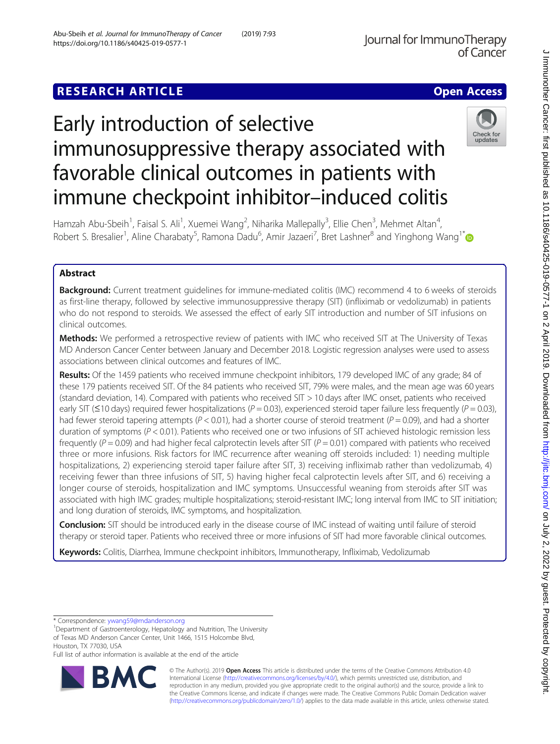# **RESEARCH ARTICLE Example 2014 12:30 The Contract of Contract ACCESS**

# Early introduction of selective immunosuppressive therapy associated with favorable clinical outcomes in patients with immune checkpoint inhibitor–induced colitis



Hamzah Abu-Sbeih<sup>1</sup>, Faisal S. Ali<sup>1</sup>, Xuemei Wang<sup>2</sup>, Niharika Mallepally<sup>3</sup>, Ellie Chen<sup>3</sup>, Mehmet Altan<sup>4</sup> , Robert S. Bresalier<sup>1</sup>, Aline Charabaty<sup>5</sup>, Ramona Dadu<sup>6</sup>, Amir Jazaeri<sup>7</sup>, Bret Lashner<sup>8</sup> and Yinghong Wang<sup>1[\\*](http://orcid.org/0000-0002-5148-6130)</sup>

# Abstract

**Background:** Current treatment guidelines for immune-mediated colitis (IMC) recommend 4 to 6 weeks of steroids as first-line therapy, followed by selective immunosuppressive therapy (SIT) (infliximab or vedolizumab) in patients who do not respond to steroids. We assessed the effect of early SIT introduction and number of SIT infusions on clinical outcomes.

Methods: We performed a retrospective review of patients with IMC who received SIT at The University of Texas MD Anderson Cancer Center between January and December 2018. Logistic regression analyses were used to assess associations between clinical outcomes and features of IMC.

Results: Of the 1459 patients who received immune checkpoint inhibitors, 179 developed IMC of any grade; 84 of these 179 patients received SIT. Of the 84 patients who received SIT, 79% were males, and the mean age was 60 years (standard deviation, 14). Compared with patients who received SIT > 10 days after IMC onset, patients who received early SIT ( $\leq$ 10 days) required fewer hospitalizations (P = 0.03), experienced steroid taper failure less frequently (P = 0.03), had fewer steroid tapering attempts ( $P < 0.01$ ), had a shorter course of steroid treatment ( $P = 0.09$ ), and had a shorter duration of symptoms  $(P < 0.01)$ . Patients who received one or two infusions of SIT achieved histologic remission less frequently ( $P = 0.09$ ) and had higher fecal calprotectin levels after SIT ( $P = 0.01$ ) compared with patients who received three or more infusions. Risk factors for IMC recurrence after weaning off steroids included: 1) needing multiple hospitalizations, 2) experiencing steroid taper failure after SIT, 3) receiving infliximab rather than vedolizumab, 4) receiving fewer than three infusions of SIT, 5) having higher fecal calprotectin levels after SIT, and 6) receiving a longer course of steroids, hospitalization and IMC symptoms. Unsuccessful weaning from steroids after SIT was associated with high IMC grades; multiple hospitalizations; steroid-resistant IMC; long interval from IMC to SIT initiation; and long duration of steroids, IMC symptoms, and hospitalization.

Conclusion: SIT should be introduced early in the disease course of IMC instead of waiting until failure of steroid therapy or steroid taper. Patients who received three or more infusions of SIT had more favorable clinical outcomes.

Keywords: Colitis, Diarrhea, Immune checkpoint inhibitors, Immunotherapy, Infliximab, Vedolizumab

\* Correspondence: [ywang59@mdanderson.org](mailto:ywang59@mdanderson.org) <sup>1</sup>

Full list of author information is available at the end of the article



© The Author(s). 2019 **Open Access** This article is distributed under the terms of the Creative Commons Attribution 4.0 International License [\(http://creativecommons.org/licenses/by/4.0/](http://creativecommons.org/licenses/by/4.0/)), which permits unrestricted use, distribution, and reproduction in any medium, provided you give appropriate credit to the original author(s) and the source, provide a link to the Creative Commons license, and indicate if changes were made. The Creative Commons Public Domain Dedication waiver [\(http://creativecommons.org/publicdomain/zero/1.0/](http://creativecommons.org/publicdomain/zero/1.0/)) applies to the data made available in this article, unless otherwise stated.

<sup>&</sup>lt;sup>1</sup>Department of Gastroenterology, Hepatology and Nutrition, The University of Texas MD Anderson Cancer Center, Unit 1466, 1515 Holcombe Blvd, Houston, TX 77030, USA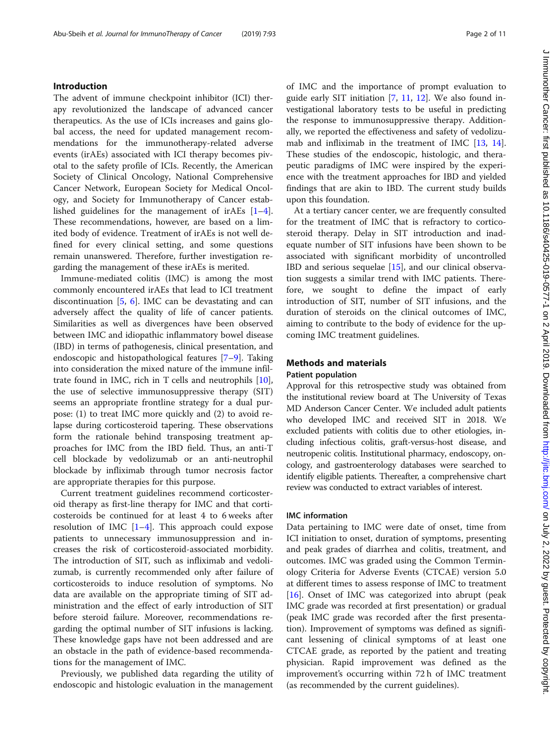#### Introduction

The advent of immune checkpoint inhibitor (ICI) therapy revolutionized the landscape of advanced cancer therapeutics. As the use of ICIs increases and gains global access, the need for updated management recommendations for the immunotherapy-related adverse events (irAEs) associated with ICI therapy becomes pivotal to the safety profile of ICIs. Recently, the American Society of Clinical Oncology, National Comprehensive Cancer Network, European Society for Medical Oncology, and Society for Immunotherapy of Cancer established guidelines for the management of irAEs [\[1](#page-9-0)–[4](#page-9-0)]. These recommendations, however, are based on a limited body of evidence. Treatment of irAEs is not well defined for every clinical setting, and some questions remain unanswered. Therefore, further investigation regarding the management of these irAEs is merited.

Immune-mediated colitis (IMC) is among the most commonly encountered irAEs that lead to ICI treatment discontinuation [\[5](#page-9-0), [6](#page-9-0)]. IMC can be devastating and can adversely affect the quality of life of cancer patients. Similarities as well as divergences have been observed between IMC and idiopathic inflammatory bowel disease (IBD) in terms of pathogenesis, clinical presentation, and endoscopic and histopathological features [[7](#page-9-0)–[9\]](#page-9-0). Taking into consideration the mixed nature of the immune infiltrate found in IMC, rich in T cells and neutrophils [\[10](#page-9-0)], the use of selective immunosuppressive therapy (SIT) seems an appropriate frontline strategy for a dual purpose: (1) to treat IMC more quickly and (2) to avoid relapse during corticosteroid tapering. These observations form the rationale behind transposing treatment approaches for IMC from the IBD field. Thus, an anti-T cell blockade by vedolizumab or an anti-neutrophil blockade by infliximab through tumor necrosis factor are appropriate therapies for this purpose.

Current treatment guidelines recommend corticosteroid therapy as first-line therapy for IMC and that corticosteroids be continued for at least 4 to 6 weeks after resolution of IMC  $[1-4]$  $[1-4]$  $[1-4]$ . This approach could expose patients to unnecessary immunosuppression and increases the risk of corticosteroid-associated morbidity. The introduction of SIT, such as infliximab and vedolizumab, is currently recommended only after failure of corticosteroids to induce resolution of symptoms. No data are available on the appropriate timing of SIT administration and the effect of early introduction of SIT before steroid failure. Moreover, recommendations regarding the optimal number of SIT infusions is lacking. These knowledge gaps have not been addressed and are an obstacle in the path of evidence-based recommendations for the management of IMC.

Previously, we published data regarding the utility of endoscopic and histologic evaluation in the management of IMC and the importance of prompt evaluation to guide early SIT initiation [\[7](#page-9-0), [11,](#page-9-0) [12\]](#page-9-0). We also found investigational laboratory tests to be useful in predicting the response to immunosuppressive therapy. Additionally, we reported the effectiveness and safety of vedolizu-mab and infliximab in the treatment of IMC [[13,](#page-9-0) [14](#page-9-0)]. These studies of the endoscopic, histologic, and therapeutic paradigms of IMC were inspired by the experience with the treatment approaches for IBD and yielded findings that are akin to IBD. The current study builds upon this foundation.

At a tertiary cancer center, we are frequently consulted for the treatment of IMC that is refractory to corticosteroid therapy. Delay in SIT introduction and inadequate number of SIT infusions have been shown to be associated with significant morbidity of uncontrolled IBD and serious sequelae [\[15](#page-10-0)], and our clinical observation suggests a similar trend with IMC patients. Therefore, we sought to define the impact of early introduction of SIT, number of SIT infusions, and the duration of steroids on the clinical outcomes of IMC, aiming to contribute to the body of evidence for the upcoming IMC treatment guidelines.

## Methods and materials

### Patient population

Approval for this retrospective study was obtained from the institutional review board at The University of Texas MD Anderson Cancer Center. We included adult patients who developed IMC and received SIT in 2018. We excluded patients with colitis due to other etiologies, including infectious colitis, graft-versus-host disease, and neutropenic colitis. Institutional pharmacy, endoscopy, oncology, and gastroenterology databases were searched to identify eligible patients. Thereafter, a comprehensive chart review was conducted to extract variables of interest.

#### IMC information

Data pertaining to IMC were date of onset, time from ICI initiation to onset, duration of symptoms, presenting and peak grades of diarrhea and colitis, treatment, and outcomes. IMC was graded using the Common Terminology Criteria for Adverse Events (CTCAE) version 5.0 at different times to assess response of IMC to treatment [[16\]](#page-10-0). Onset of IMC was categorized into abrupt (peak IMC grade was recorded at first presentation) or gradual (peak IMC grade was recorded after the first presentation). Improvement of symptoms was defined as significant lessening of clinical symptoms of at least one CTCAE grade, as reported by the patient and treating physician. Rapid improvement was defined as the improvement's occurring within 72 h of IMC treatment (as recommended by the current guidelines).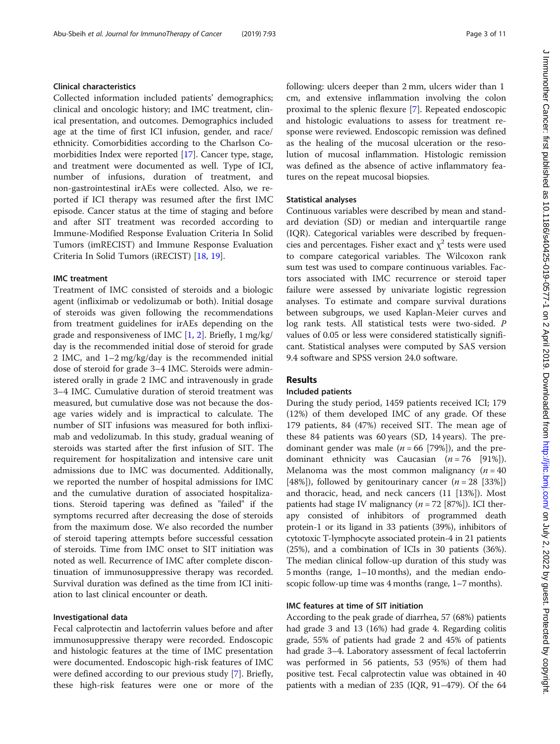#### Clinical characteristics

Collected information included patients' demographics; clinical and oncologic history; and IMC treatment, clinical presentation, and outcomes. Demographics included age at the time of first ICI infusion, gender, and race/ ethnicity. Comorbidities according to the Charlson Comorbidities Index were reported [[17](#page-10-0)]. Cancer type, stage, and treatment were documented as well. Type of ICI, number of infusions, duration of treatment, and non-gastrointestinal irAEs were collected. Also, we reported if ICI therapy was resumed after the first IMC episode. Cancer status at the time of staging and before and after SIT treatment was recorded according to Immune-Modified Response Evaluation Criteria In Solid Tumors (imRECIST) and Immune Response Evaluation Criteria In Solid Tumors (iRECIST) [\[18](#page-10-0), [19](#page-10-0)].

#### IMC treatment

Treatment of IMC consisted of steroids and a biologic agent (infliximab or vedolizumab or both). Initial dosage of steroids was given following the recommendations from treatment guidelines for irAEs depending on the grade and responsiveness of IMC  $[1, 2]$  $[1, 2]$  $[1, 2]$  $[1, 2]$ . Briefly, 1 mg/kg/ day is the recommended initial dose of steroid for grade 2 IMC, and 1–2 mg/kg/day is the recommended initial dose of steroid for grade 3–4 IMC. Steroids were administered orally in grade 2 IMC and intravenously in grade 3–4 IMC. Cumulative duration of steroid treatment was measured, but cumulative dose was not because the dosage varies widely and is impractical to calculate. The number of SIT infusions was measured for both infliximab and vedolizumab. In this study, gradual weaning of steroids was started after the first infusion of SIT. The requirement for hospitalization and intensive care unit admissions due to IMC was documented. Additionally, we reported the number of hospital admissions for IMC and the cumulative duration of associated hospitalizations. Steroid tapering was defined as "failed" if the symptoms recurred after decreasing the dose of steroids from the maximum dose. We also recorded the number of steroid tapering attempts before successful cessation of steroids. Time from IMC onset to SIT initiation was noted as well. Recurrence of IMC after complete discontinuation of immunosuppressive therapy was recorded. Survival duration was defined as the time from ICI initiation to last clinical encounter or death.

#### Investigational data

Fecal calprotectin and lactoferrin values before and after immunosuppressive therapy were recorded. Endoscopic and histologic features at the time of IMC presentation were documented. Endoscopic high-risk features of IMC were defined according to our previous study [[7\]](#page-9-0). Briefly, these high-risk features were one or more of the following: ulcers deeper than 2 mm, ulcers wider than 1 cm, and extensive inflammation involving the colon proximal to the splenic flexure [[7\]](#page-9-0). Repeated endoscopic and histologic evaluations to assess for treatment response were reviewed. Endoscopic remission was defined as the healing of the mucosal ulceration or the resolution of mucosal inflammation. Histologic remission was defined as the absence of active inflammatory features on the repeat mucosal biopsies.

#### Statistical analyses

Continuous variables were described by mean and standard deviation (SD) or median and interquartile range (IQR). Categorical variables were described by frequencies and percentages. Fisher exact and  $\chi^2$  tests were used to compare categorical variables. The Wilcoxon rank sum test was used to compare continuous variables. Factors associated with IMC recurrence or steroid taper failure were assessed by univariate logistic regression analyses. To estimate and compare survival durations between subgroups, we used Kaplan-Meier curves and log rank tests. All statistical tests were two-sided. P values of 0.05 or less were considered statistically significant. Statistical analyses were computed by SAS version 9.4 software and SPSS version 24.0 software.

#### Results

#### Included patients

During the study period, 1459 patients received ICI; 179 (12%) of them developed IMC of any grade. Of these 179 patients, 84 (47%) received SIT. The mean age of these 84 patients was 60 years (SD, 14 years). The predominant gender was male ( $n = 66$  [79%]), and the predominant ethnicity was Caucasian  $(n = 76$  [91%]). Melanoma was the most common malignancy  $(n = 40)$ [48%]), followed by genitourinary cancer  $(n = 28$  [33%]) and thoracic, head, and neck cancers (11 [13%]). Most patients had stage IV malignancy ( $n = 72$  [87%]). ICI therapy consisted of inhibitors of programmed death protein-1 or its ligand in 33 patients (39%), inhibitors of cytotoxic T-lymphocyte associated protein-4 in 21 patients (25%), and a combination of ICIs in 30 patients (36%). The median clinical follow-up duration of this study was 5 months (range, 1–10 months), and the median endoscopic follow-up time was 4 months (range, 1–7 months).

#### IMC features at time of SIT initiation

According to the peak grade of diarrhea, 57 (68%) patients had grade 3 and 13 (16%) had grade 4. Regarding colitis grade, 55% of patients had grade 2 and 45% of patients had grade 3–4. Laboratory assessment of fecal lactoferrin was performed in 56 patients, 53 (95%) of them had positive test. Fecal calprotectin value was obtained in 40 patients with a median of 235 (IQR, 91–479). Of the 64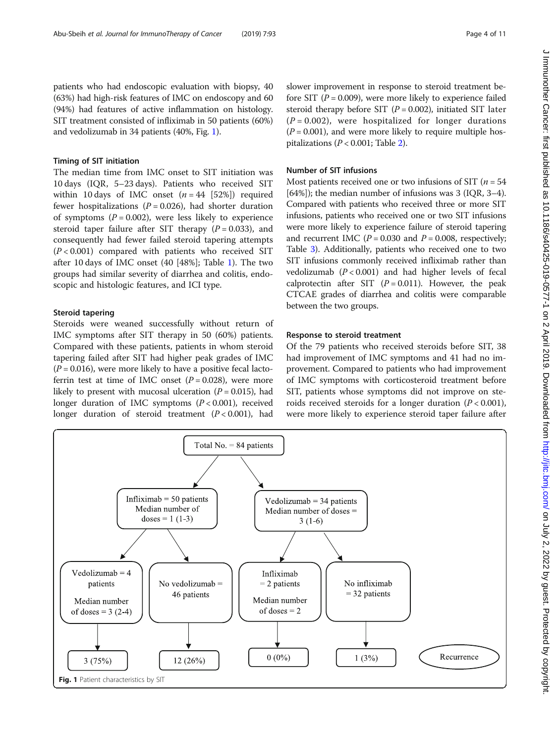J Immunother Cancer: first published as 10.1186/s40425-019-0577-1 on 2 April 2019. Downloaded from http://jitc.bm/ on July 2, 2022 by guest. Protected by copyright J Immunother Cancer: first published as 10.1186/s40425-019-0577-1 on 2 April 2019. Downloaded from <http://jitc.bmj.com/> on July 2, 2022 by guest. Protected by copyright.

<span id="page-3-0"></span>patients who had endoscopic evaluation with biopsy, 40 (63%) had high-risk features of IMC on endoscopy and 60 (94%) had features of active inflammation on histology. SIT treatment consisted of infliximab in 50 patients (60%) and vedolizumab in 34 patients (40%, Fig. 1).

#### Timing of SIT initiation

The median time from IMC onset to SIT initiation was 10 days (IQR, 5–23 days). Patients who received SIT within 10 days of IMC onset  $(n = 44 [52\%)$  required fewer hospitalizations ( $P = 0.026$ ), had shorter duration of symptoms  $(P = 0.002)$ , were less likely to experience steroid taper failure after SIT therapy  $(P = 0.033)$ , and consequently had fewer failed steroid tapering attempts  $(P < 0.001)$  compared with patients who received SIT after 10 days of IMC onset (40 [48%]; Table [1\)](#page-4-0). The two groups had similar severity of diarrhea and colitis, endoscopic and histologic features, and ICI type.

#### Steroid tapering

Steroids were weaned successfully without return of IMC symptoms after SIT therapy in 50 (60%) patients. Compared with these patients, patients in whom steroid tapering failed after SIT had higher peak grades of IMC  $(P = 0.016)$ , were more likely to have a positive fecal lactoferrin test at time of IMC onset  $(P = 0.028)$ , were more likely to present with mucosal ulceration  $(P = 0.015)$ , had longer duration of IMC symptoms  $(P < 0.001)$ , received longer duration of steroid treatment  $(P < 0.001)$ , had

slower improvement in response to steroid treatment before SIT ( $P = 0.009$ ), were more likely to experience failed steroid therapy before SIT ( $P = 0.002$ ), initiated SIT later  $(P = 0.002)$ , were hospitalized for longer durations  $(P = 0.001)$ , and were more likely to require multiple hospitalizations ( $P < 0.001$ ; Table [2](#page-5-0)).

#### Number of SIT infusions

Most patients received one or two infusions of SIT ( $n = 54$ ) [64%]); the median number of infusions was 3 (IQR, 3–4). Compared with patients who received three or more SIT infusions, patients who received one or two SIT infusions were more likely to experience failure of steroid tapering and recurrent IMC ( $P = 0.030$  and  $P = 0.008$ , respectively; Table [3](#page-5-0)). Additionally, patients who received one to two SIT infusions commonly received infliximab rather than vedolizumab  $(P < 0.001)$  and had higher levels of fecal calprotectin after SIT  $(P = 0.011)$ . However, the peak CTCAE grades of diarrhea and colitis were comparable between the two groups.

#### Response to steroid treatment

Of the 79 patients who received steroids before SIT, 38 had improvement of IMC symptoms and 41 had no improvement. Compared to patients who had improvement of IMC symptoms with corticosteroid treatment before SIT, patients whose symptoms did not improve on steroids received steroids for a longer duration  $(P < 0.001)$ , were more likely to experience steroid taper failure after

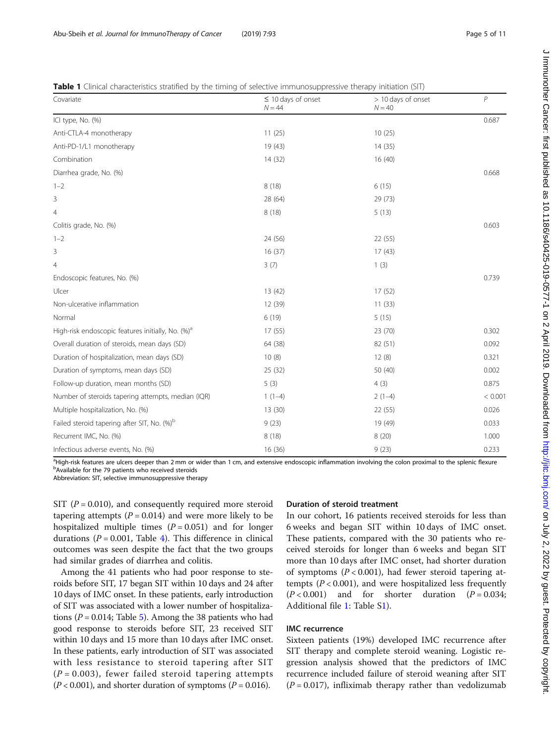| Covariate                                                     | $\leq$ 10 days of onset<br>$N = 44$ | > 10 days of onset<br>$N = 40$ | P       |
|---------------------------------------------------------------|-------------------------------------|--------------------------------|---------|
| ICI type, No. (%)                                             |                                     |                                | 0.687   |
| Anti-CTLA-4 monotherapy                                       | 11(25)                              | 10(25)                         |         |
| Anti-PD-1/L1 monotherapy                                      | 19 (43)                             | 14(35)                         |         |
| Combination                                                   | 14(32)                              | 16(40)                         |         |
| Diarrhea grade, No. (%)                                       |                                     |                                | 0.668   |
| $1 - 2$                                                       | 8(18)                               | 6(15)                          |         |
| 3                                                             | 28 (64)                             | 29 (73)                        |         |
| 4                                                             | 8(18)                               | 5(13)                          |         |
| Colitis grade, No. (%)                                        |                                     |                                | 0.603   |
| $1 - 2$                                                       | 24 (56)                             | 22 (55)                        |         |
| 3                                                             | 16(37)                              | 17(43)                         |         |
| 4                                                             | 3(7)                                | 1(3)                           |         |
| Endoscopic features, No. (%)                                  |                                     |                                | 0.739   |
| Ulcer                                                         | 13(42)                              | 17(52)                         |         |
| Non-ulcerative inflammation                                   | 12 (39)                             | 11(33)                         |         |
| Normal                                                        | 6(19)                               | 5(15)                          |         |
| High-risk endoscopic features initially, No. (%) <sup>a</sup> | 17(55)                              | 23 (70)                        | 0.302   |
| Overall duration of steroids, mean days (SD)                  | 64 (38)                             | 82 (51)                        | 0.092   |
| Duration of hospitalization, mean days (SD)                   | 10(8)                               | 12(8)                          | 0.321   |
| Duration of symptoms, mean days (SD)                          | 25 (32)                             | 50 (40)                        | 0.002   |
| Follow-up duration, mean months (SD)                          | 5(3)                                | 4(3)                           | 0.875   |
| Number of steroids tapering attempts, median (IQR)            | $1(1-4)$                            | $2(1-4)$                       | < 0.001 |
| Multiple hospitalization, No. (%)                             | 13(30)                              | 22 (55)                        | 0.026   |
| Failed steroid tapering after SIT, No. (%) <sup>b</sup>       | 9(23)                               | 19 (49)                        | 0.033   |
| Recurrent IMC, No. (%)                                        | 8(18)                               | 8(20)                          | 1.000   |
| Infectious adverse events, No. (%)                            | 16 (36)                             | 9(23)                          | 0.233   |

<span id="page-4-0"></span>

| Table 1 Clinical characteristics stratified by the timing of selective immunosuppressive therapy initiation (SIT) |  |
|-------------------------------------------------------------------------------------------------------------------|--|
|                                                                                                                   |  |

<sup>a</sup>High-risk features are ulcers deeper than 2 mm or wider than 1 cm, and extensive endoscopic inflammation involving the colon proximal to the splenic flexure <sup>b</sup>Available for the 79 patients who received steroids

Abbreviation: SIT, selective immunosuppressive therapy

SIT ( $P = 0.010$ ), and consequently required more steroid tapering attempts ( $P = 0.014$ ) and were more likely to be hospitalized multiple times  $(P = 0.051)$  and for longer durations ( $P = 0.001$ , Table [4](#page-6-0)). This difference in clinical outcomes was seen despite the fact that the two groups had similar grades of diarrhea and colitis.

Among the 41 patients who had poor response to steroids before SIT, 17 began SIT within 10 days and 24 after 10 days of IMC onset. In these patients, early introduction of SIT was associated with a lower number of hospitalizations ( $P = 0.014$ ; Table [5\)](#page-6-0). Among the 38 patients who had good response to steroids before SIT, 23 received SIT within 10 days and 15 more than 10 days after IMC onset. In these patients, early introduction of SIT was associated with less resistance to steroid tapering after SIT  $(P = 0.003)$ , fewer failed steroid tapering attempts  $(P < 0.001)$ , and shorter duration of symptoms  $(P = 0.016)$ .

#### Duration of steroid treatment

In our cohort, 16 patients received steroids for less than 6 weeks and began SIT within 10 days of IMC onset. These patients, compared with the 30 patients who received steroids for longer than 6 weeks and began SIT more than 10 days after IMC onset, had shorter duration of symptoms ( $P < 0.001$ ), had fewer steroid tapering attempts ( $P < 0.001$ ), and were hospitalized less frequently  $(P < 0.001)$  and for shorter duration  $(P = 0.034;$ Additional file [1](#page-9-0): Table S1).

#### IMC recurrence

Sixteen patients (19%) developed IMC recurrence after SIT therapy and complete steroid weaning. Logistic regression analysis showed that the predictors of IMC recurrence included failure of steroid weaning after SIT  $(P = 0.017)$ , infliximab therapy rather than vedolizumab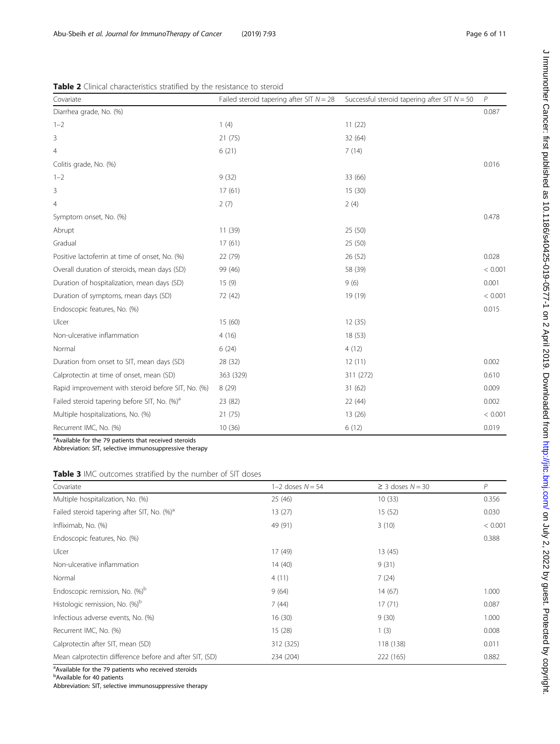| Covariate                                                | Failed steroid tapering after SIT $N = 28$ | Successful steroid tapering after SIT $N = 50$ | $\overline{P}$ |
|----------------------------------------------------------|--------------------------------------------|------------------------------------------------|----------------|
| Diarrhea grade, No. (%)                                  |                                            |                                                | 0.087          |
| $1 - 2$                                                  | 1(4)                                       | 11(22)                                         |                |
| 3                                                        | 21(75)                                     | 32 (64)                                        |                |
| 4                                                        | 6(21)                                      | 7(14)                                          |                |
| Colitis grade, No. (%)                                   |                                            |                                                | 0.016          |
| $1 - 2$                                                  | 9(32)                                      | 33 (66)                                        |                |
| 3                                                        | 17(61)                                     | 15(30)                                         |                |
| 4                                                        | 2(7)                                       | 2(4)                                           |                |
| Symptom onset, No. (%)                                   |                                            |                                                | 0.478          |
| Abrupt                                                   | 11(39)                                     | 25(50)                                         |                |
| Gradual                                                  | 17(61)                                     | 25 (50)                                        |                |
| Positive lactoferrin at time of onset, No. (%)           | 22 (79)                                    | 26 (52)                                        | 0.028          |
| Overall duration of steroids, mean days (SD)             | 99 (46)                                    | 58 (39)                                        | < 0.001        |
| Duration of hospitalization, mean days (SD)              | 15(9)                                      | 9(6)                                           | 0.001          |
| Duration of symptoms, mean days (SD)                     | 72 (42)                                    | 19 (19)                                        | < 0.001        |
| Endoscopic features, No. (%)                             |                                            |                                                | 0.015          |
| Ulcer                                                    | 15(60)                                     | 12(35)                                         |                |
| Non-ulcerative inflammation                              | 4(16)                                      | 18 (53)                                        |                |
| Normal                                                   | 6(24)                                      | 4(12)                                          |                |
| Duration from onset to SIT, mean days (SD)               | 28 (32)                                    | 12(11)                                         | 0.002          |
| Calprotectin at time of onset, mean (SD)                 | 363 (329)                                  | 311 (272)                                      | 0.610          |
| Rapid improvement with steroid before SIT, No. (%)       | 8(29)                                      | 31(62)                                         | 0.009          |
| Failed steroid tapering before SIT, No. (%) <sup>a</sup> | 23 (82)                                    | 22(44)                                         | 0.002          |
| Multiple hospitalizations, No. (%)                       | 21(75)                                     | 13 (26)                                        | < 0.001        |
| Recurrent IMC, No. (%)                                   | 10(36)                                     | 6(12)                                          | 0.019          |

<span id="page-5-0"></span>Table 2 Clinical characteristics stratified by the resistance to steroid

<sup>a</sup> Available for the 79 patients that received steroids

Abbreviation: SIT, selective immunosuppressive therapy

| Table 3 IMC outcomes stratified by the number of SIT doses |
|------------------------------------------------------------|
|------------------------------------------------------------|

| <b>Note a</b> live battorings stratified by the namber of sir abses<br>Covariate | $1-2$ doses $N = 54$ | $\geq$ 3 doses $N = 30$ | $\overline{P}$ |
|----------------------------------------------------------------------------------|----------------------|-------------------------|----------------|
| Multiple hospitalization, No. (%)                                                | 25(46)               | 10(33)                  | 0.356          |
| Failed steroid tapering after SIT, No. (%) <sup>a</sup>                          | 13(27)               | 15(52)                  | 0.030          |
| Infliximab, No. (%)                                                              | 49 (91)              | 3(10)                   | < 0.001        |
| Endoscopic features, No. (%)                                                     |                      |                         | 0.388          |
| Ulcer                                                                            | 17 (49)              | 13(45)                  |                |
| Non-ulcerative inflammation                                                      | 14(40)               | 9(31)                   |                |
| Normal                                                                           | 4(11)                | 7(24)                   |                |
| Endoscopic remission, No. (%) <sup>b</sup>                                       | 9(64)                | 14(67)                  | 1.000          |
| Histologic remission, No. (%) <sup>b</sup>                                       | 7(44)                | 17(71)                  | 0.087          |
| Infectious adverse events, No. (%)                                               | 16(30)               | 9(30)                   | 1.000          |
| Recurrent IMC, No. (%)                                                           | 15(28)               | 1(3)                    | 0.008          |
| Calprotectin after SIT, mean (SD)                                                | 312 (325)            | 118 (138)               | 0.011          |
| Mean calprotectin difference before and after SIT, (SD)                          | 234 (204)            | 222 (165)               | 0.882          |

<sup>a</sup>Available for the 79 patients who received steroids<br><sup>b</sup>Available for 40 patients

Abbreviation: SIT, selective immunosuppressive therapy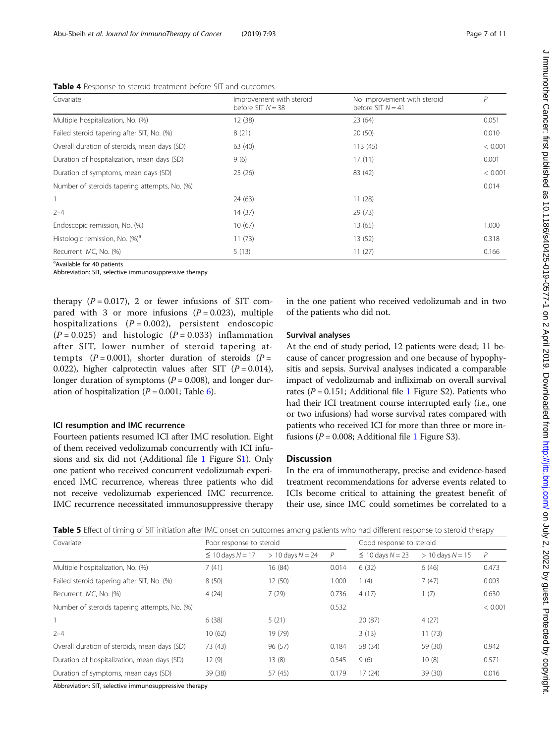| Covariate                                     | Improvement with steroid | No improvement with steroid | P       |
|-----------------------------------------------|--------------------------|-----------------------------|---------|
|                                               | before SIT $N = 38$      | before SIT $N = 41$         |         |
| Multiple hospitalization, No. (%)             | 12 (38)                  | 23(64)                      | 0.051   |
| Failed steroid tapering after SIT, No. (%)    | 8(21)                    | 20(50)                      | 0.010   |
| Overall duration of steroids, mean days (SD)  | 63 (40)                  | 113(45)                     | < 0.001 |
| Duration of hospitalization, mean days (SD)   | 9(6)                     | 17(11)                      | 0.001   |
| Duration of symptoms, mean days (SD)          | 25(26)                   | 83 (42)                     | < 0.001 |
| Number of steroids tapering attempts, No. (%) |                          |                             | 0.014   |
|                                               | 24 (63)                  | 11(28)                      |         |
| $2 - 4$                                       | 14(37)                   | 29(73)                      |         |
| Endoscopic remission, No. (%)                 | 10(67)                   | 13(65)                      | 1.000   |
| Histologic remission, No. (%) <sup>a</sup>    | 11(73)                   | 13(52)                      | 0.318   |
| Recurrent IMC, No. (%)                        | 5(13)                    | 11(27)                      | 0.166   |

<span id="page-6-0"></span>Table 4 Response to steroid treatment before SIT and outcomes

<sup>a</sup>Available for 40 patients

Abbreviation: SIT, selective immunosuppressive therapy

therapy  $(P = 0.017)$ , 2 or fewer infusions of SIT compared with 3 or more infusions  $(P = 0.023)$ , multiple hospitalizations  $(P = 0.002)$ , persistent endoscopic  $(P = 0.025)$  and histologic  $(P = 0.033)$  inflammation after SIT, lower number of steroid tapering attempts ( $P = 0.001$ ), shorter duration of steroids ( $P =$ 0.022), higher calprotectin values after SIT  $(P = 0.014)$ , longer duration of symptoms ( $P = 0.008$ ), and longer duration of hospitalization ( $P = 0.001$ ; Table [6](#page-7-0)).

#### ICI resumption and IMC recurrence

Fourteen patients resumed ICI after IMC resolution. Eight of them received vedolizumab concurrently with ICI infusions and six did not (Additional file [1](#page-9-0) Figure S[1\)](#page-3-0). Only one patient who received concurrent vedolizumab experienced IMC recurrence, whereas three patients who did not receive vedolizumab experienced IMC recurrence. IMC recurrence necessitated immunosuppressive therapy in the one patient who received vedolizumab and in two of the patients who did not.

#### Survival analyses

At the end of study period, 12 patients were dead; 11 because of cancer progression and one because of hypophysitis and sepsis. Survival analyses indicated a comparable impact of vedolizumab and infliximab on overall survival rates ( $P = 0.151$  $P = 0.151$  $P = 0.151$ ; Additional file 1 Figure S2). Patients who had their ICI treatment course interrupted early (i.e., one or two infusions) had worse survival rates compared with patients who received ICI for more than three or more infusions ( $P = 0.008$ ; Additional file [1](#page-9-0) Figure S3).

#### **Discussion**

In the era of immunotherapy, precise and evidence-based treatment recommendations for adverse events related to ICIs become critical to attaining the greatest benefit of their use, since IMC could sometimes be correlated to a

| Table 5 Effect of timing of SIT initiation after IMC onset on outcomes among patients who had different response to steroid therapy |  |  |
|-------------------------------------------------------------------------------------------------------------------------------------|--|--|
|-------------------------------------------------------------------------------------------------------------------------------------|--|--|

| Covariate                                     | Poor response to steroid |                      | Good response to steroid |                         |                      |         |
|-----------------------------------------------|--------------------------|----------------------|--------------------------|-------------------------|----------------------|---------|
|                                               | $\leq 10$ days $N = 17$  | $> 10$ days $N = 24$ | P                        | $\leq 10$ days $N = 23$ | $> 10$ days $N = 15$ | P       |
| Multiple hospitalization, No. (%)             | 7(41)                    | 16 (84)              | 0.014                    | 6(32)                   | 6(46)                | 0.473   |
| Failed steroid tapering after SIT, No. (%)    | 8(50)                    | 12(50)               | 1.000                    | 1(4)                    | 7(47)                | 0.003   |
| Recurrent IMC, No. (%)                        | 4(24)                    | 7(29)                | 0.736                    | 4(17)                   | 1(7)                 | 0.630   |
| Number of steroids tapering attempts, No. (%) |                          |                      | 0.532                    |                         |                      | < 0.001 |
|                                               | 6(38)                    | 5(21)                |                          | 20 (87)                 | 4(27)                |         |
| $2 - 4$                                       | 10(62)                   | 19 (79)              |                          | 3(13)                   | 11(73)               |         |
| Overall duration of steroids, mean days (SD)  | 73 (43)                  | 96(57)               | 0.184                    | 58 (34)                 | 59 (30)              | 0.942   |
| Duration of hospitalization, mean days (SD)   | 12(9)                    | 13(8)                | 0.545                    | 9(6)                    | 10(8)                | 0.571   |
| Duration of symptoms, mean days (SD)          | 39 (38)                  | 57 (45)              | 0.179                    | 17(24)                  | 39 (30)              | 0.016   |

Abbreviation: SIT, selective immunosuppressive therapy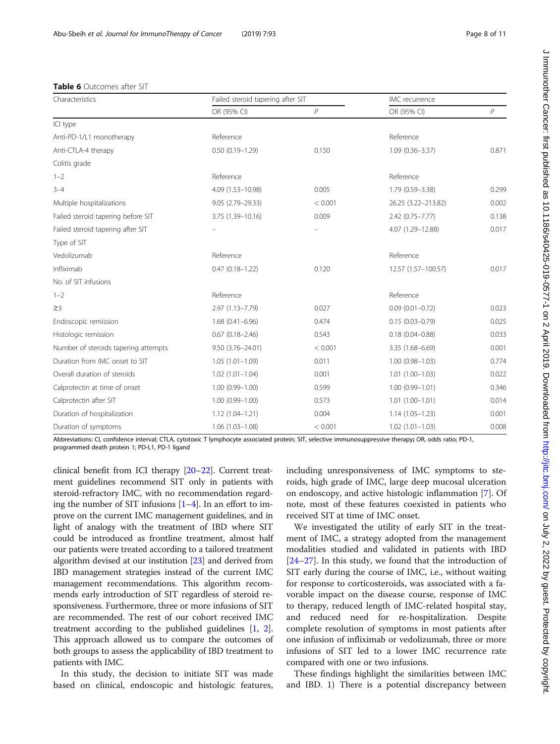<span id="page-7-0"></span>

| <b>Table 6</b> Outcomes after SIT |  |
|-----------------------------------|--|
|-----------------------------------|--|

| Characteristics                      |                     | Failed steroid tapering after SIT |                     | IMC recurrence |  |
|--------------------------------------|---------------------|-----------------------------------|---------------------|----------------|--|
|                                      | OR (95% CI)         | P                                 | OR (95% CI)         | $\mathcal P$   |  |
| ICI type                             |                     |                                   |                     |                |  |
| Anti-PD-1/L1 monotherapy             | Reference           |                                   | Reference           |                |  |
| Anti-CTLA-4 therapy                  | $0.50(0.19 - 1.29)$ | 0.150                             | $1.09(0.36 - 3.37)$ | 0.871          |  |
| Colitis grade                        |                     |                                   |                     |                |  |
| $1 - 2$                              | Reference           |                                   | Reference           |                |  |
| $3 - 4$                              | 4.09 (1.53-10.98)   | 0.005                             | 1.79 (0.59-3.38)    | 0.299          |  |
| Multiple hospitalizations            | 9.05 (2.79-29.33)   | < 0.001                           | 26.25 (3.22-213.82) | 0.002          |  |
| Failed steroid tapering before SIT   | 3.75 (1.39-10.16)   | 0.009                             | $2.42(0.75 - 7.77)$ | 0.138          |  |
| Failed steroid tapering after SIT    |                     |                                   | 4.07 (1.29-12.88)   | 0.017          |  |
| Type of SIT                          |                     |                                   |                     |                |  |
| Vedolizumab                          | Reference           |                                   | Reference           |                |  |
| Infliximab                           | $0.47(0.18 - 1.22)$ | 0.120                             | 12.57 (1.57-100.57) | 0.017          |  |
| No. of SIT infusions                 |                     |                                   |                     |                |  |
| $1 - 2$                              | Reference           |                                   | Reference           |                |  |
| $\geq$ 3                             | 2.97 (1.13-7.79)    | 0.027                             | $0.09(0.01 - 0.72)$ | 0.023          |  |
| Endoscopic remission                 | $1.68(0.41 - 6.96)$ | 0.474                             | $0.15(0.03 - 0.79)$ | 0.025          |  |
| Histologic remission                 | $0.67(0.18 - 2.46)$ | 0.543                             | $0.18(0.04 - 0.88)$ | 0.033          |  |
| Number of steroids tapering attempts | 9.50 (3.76-24.01)   | < 0.001                           | 3.35 (1.68-6.69)    | 0.001          |  |
| Duration from IMC onset to SIT       | $1.05(1.01 - 1.09)$ | 0.011                             | $1.00(0.98 - 1.03)$ | 0.774          |  |
| Overall duration of steroids         | $1.02(1.01 - 1.04)$ | 0.001                             | $1.01(1.00 - 1.03)$ | 0.022          |  |
| Calprotectin at time of onset        | $1.00(0.99 - 1.00)$ | 0.599                             | $1.00(0.99 - 1.01)$ | 0.346          |  |
| Calprotectin after SIT               | $1.00(0.99 - 1.00)$ | 0.573                             | $1.01(1.00 - 1.01)$ | 0.014          |  |
| Duration of hospitalization          | $1.12(1.04 - 1.21)$ | 0.004                             | 1.14 (1.05-1.23)    | 0.001          |  |
| Duration of symptoms                 | $1.06(1.03 - 1.08)$ | < 0.001                           | $1.02(1.01 - 1.03)$ | 0.008          |  |

Abbreviations: CI, confidence interval; CTLA, cytotoxic T lymphocyte associated protein; SIT, selective immunosuppressive therapy; OR, odds ratio; PD-1, programmed death protein 1; PD-L1, PD-1 ligand

clinical benefit from ICI therapy [\[20](#page-10-0)–[22\]](#page-10-0). Current treatment guidelines recommend SIT only in patients with steroid-refractory IMC, with no recommendation regarding the number of SIT infusions  $[1-4]$  $[1-4]$  $[1-4]$  $[1-4]$  $[1-4]$ . In an effort to improve on the current IMC management guidelines, and in light of analogy with the treatment of IBD where SIT could be introduced as frontline treatment, almost half our patients were treated according to a tailored treatment algorithm devised at our institution [\[23\]](#page-10-0) and derived from IBD management strategies instead of the current IMC management recommendations. This algorithm recommends early introduction of SIT regardless of steroid responsiveness. Furthermore, three or more infusions of SIT are recommended. The rest of our cohort received IMC treatment according to the published guidelines [\[1](#page-9-0), [2](#page-9-0)]. This approach allowed us to compare the outcomes of both groups to assess the applicability of IBD treatment to patients with IMC.

In this study, the decision to initiate SIT was made based on clinical, endoscopic and histologic features, including unresponsiveness of IMC symptoms to steroids, high grade of IMC, large deep mucosal ulceration on endoscopy, and active histologic inflammation [[7\]](#page-9-0). Of note, most of these features coexisted in patients who received SIT at time of IMC onset.

We investigated the utility of early SIT in the treatment of IMC, a strategy adopted from the management modalities studied and validated in patients with IBD [[24](#page-10-0)–[27](#page-10-0)]. In this study, we found that the introduction of SIT early during the course of IMC, i.e., without waiting for response to corticosteroids, was associated with a favorable impact on the disease course, response of IMC to therapy, reduced length of IMC-related hospital stay, and reduced need for re-hospitalization. Despite complete resolution of symptoms in most patients after one infusion of infliximab or vedolizumab, three or more infusions of SIT led to a lower IMC recurrence rate compared with one or two infusions.

These findings highlight the similarities between IMC and IBD. 1) There is a potential discrepancy between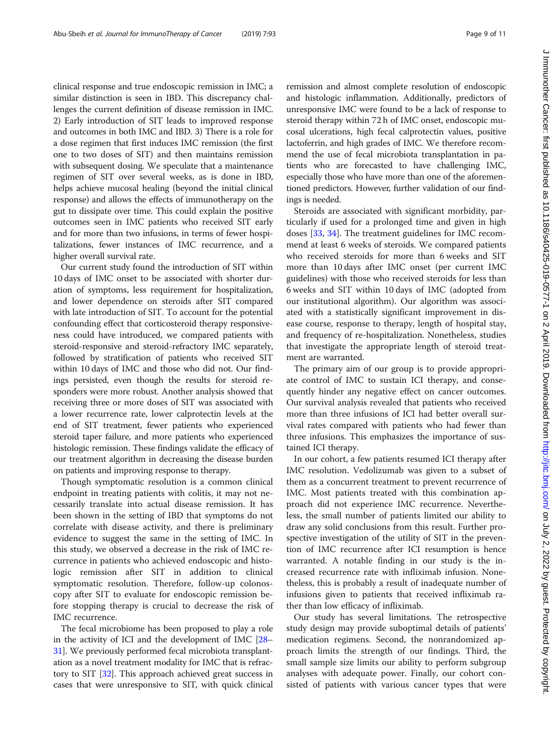clinical response and true endoscopic remission in IMC; a similar distinction is seen in IBD. This discrepancy challenges the current definition of disease remission in IMC. 2) Early introduction of SIT leads to improved response and outcomes in both IMC and IBD. 3) There is a role for a dose regimen that first induces IMC remission (the first one to two doses of SIT) and then maintains remission with subsequent dosing. We speculate that a maintenance regimen of SIT over several weeks, as is done in IBD, helps achieve mucosal healing (beyond the initial clinical response) and allows the effects of immunotherapy on the gut to dissipate over time. This could explain the positive outcomes seen in IMC patients who received SIT early and for more than two infusions, in terms of fewer hospitalizations, fewer instances of IMC recurrence, and a higher overall survival rate.

Our current study found the introduction of SIT within 10 days of IMC onset to be associated with shorter duration of symptoms, less requirement for hospitalization, and lower dependence on steroids after SIT compared with late introduction of SIT. To account for the potential confounding effect that corticosteroid therapy responsiveness could have introduced, we compared patients with steroid-responsive and steroid-refractory IMC separately, followed by stratification of patients who received SIT within 10 days of IMC and those who did not. Our findings persisted, even though the results for steroid responders were more robust. Another analysis showed that receiving three or more doses of SIT was associated with a lower recurrence rate, lower calprotectin levels at the end of SIT treatment, fewer patients who experienced steroid taper failure, and more patients who experienced histologic remission. These findings validate the efficacy of our treatment algorithm in decreasing the disease burden on patients and improving response to therapy.

Though symptomatic resolution is a common clinical endpoint in treating patients with colitis, it may not necessarily translate into actual disease remission. It has been shown in the setting of IBD that symptoms do not correlate with disease activity, and there is preliminary evidence to suggest the same in the setting of IMC. In this study, we observed a decrease in the risk of IMC recurrence in patients who achieved endoscopic and histologic remission after SIT in addition to clinical symptomatic resolution. Therefore, follow-up colonoscopy after SIT to evaluate for endoscopic remission before stopping therapy is crucial to decrease the risk of IMC recurrence.

The fecal microbiome has been proposed to play a role in the activity of ICI and the development of IMC [\[28](#page-10-0)– [31](#page-10-0)]. We previously performed fecal microbiota transplantation as a novel treatment modality for IMC that is refractory to SIT [[32](#page-10-0)]. This approach achieved great success in cases that were unresponsive to SIT, with quick clinical remission and almost complete resolution of endoscopic and histologic inflammation. Additionally, predictors of unresponsive IMC were found to be a lack of response to steroid therapy within 72 h of IMC onset, endoscopic mucosal ulcerations, high fecal calprotectin values, positive lactoferrin, and high grades of IMC. We therefore recommend the use of fecal microbiota transplantation in patients who are forecasted to have challenging IMC, especially those who have more than one of the aforementioned predictors. However, further validation of our findings is needed.

Steroids are associated with significant morbidity, particularly if used for a prolonged time and given in high doses [\[33,](#page-10-0) [34](#page-10-0)]. The treatment guidelines for IMC recommend at least 6 weeks of steroids. We compared patients who received steroids for more than 6 weeks and SIT more than 10 days after IMC onset (per current IMC guidelines) with those who received steroids for less than 6 weeks and SIT within 10 days of IMC (adopted from our institutional algorithm). Our algorithm was associated with a statistically significant improvement in disease course, response to therapy, length of hospital stay, and frequency of re-hospitalization. Nonetheless, studies that investigate the appropriate length of steroid treatment are warranted.

The primary aim of our group is to provide appropriate control of IMC to sustain ICI therapy, and consequently hinder any negative effect on cancer outcomes. Our survival analysis revealed that patients who received more than three infusions of ICI had better overall survival rates compared with patients who had fewer than three infusions. This emphasizes the importance of sustained ICI therapy.

In our cohort, a few patients resumed ICI therapy after IMC resolution. Vedolizumab was given to a subset of them as a concurrent treatment to prevent recurrence of IMC. Most patients treated with this combination approach did not experience IMC recurrence. Nevertheless, the small number of patients limited our ability to draw any solid conclusions from this result. Further prospective investigation of the utility of SIT in the prevention of IMC recurrence after ICI resumption is hence warranted. A notable finding in our study is the increased recurrence rate with infliximab infusion. Nonetheless, this is probably a result of inadequate number of infusions given to patients that received infliximab rather than low efficacy of infliximab.

Our study has several limitations. The retrospective study design may provide suboptimal details of patients' medication regimens. Second, the nonrandomized approach limits the strength of our findings. Third, the small sample size limits our ability to perform subgroup analyses with adequate power. Finally, our cohort consisted of patients with various cancer types that were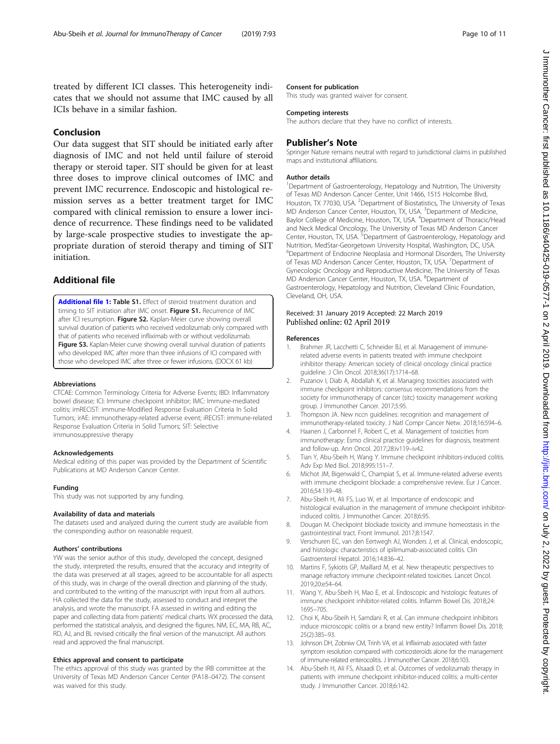<span id="page-9-0"></span>treated by different ICI classes. This heterogeneity indicates that we should not assume that IMC caused by all ICIs behave in a similar fashion.

#### Conclusion

Our data suggest that SIT should be initiated early after diagnosis of IMC and not held until failure of steroid therapy or steroid taper. SIT should be given for at least three doses to improve clinical outcomes of IMC and prevent IMC recurrence. Endoscopic and histological remission serves as a better treatment target for IMC compared with clinical remission to ensure a lower incidence of recurrence. These findings need to be validated by large-scale prospective studies to investigate the appropriate duration of steroid therapy and timing of SIT initiation.

#### Additional file

[Additional file 1:](https://doi.org/10.1186/s40425-019-0577-1) Table S1. Effect of steroid treatment duration and timing to SIT initiation after IMC onset. Figure S1. Recurrence of IMC after ICI resumption. Figure S2. Kaplan-Meier curve showing overall survival duration of patients who received vedolizumab only compared with that of patients who received infliximab with or without vedolizumab. Figure S3. Kaplan-Meier curve showing overall survival duration of patients who developed IMC after more than three infusions of ICI compared with those who developed IMC after three or fewer infusions. (DOCX 61 kb)

#### Abbreviations

CTCAE: Common Terminology Criteria for Adverse Events; IBD: Inflammatory bowel disease; ICI: Immune checkpoint inhibitor; IMC: Immune-mediated colitis; imRECIST: immune-Modified Response Evaluation Criteria In Solid Tumors; irAE: immunotherapy-related adverse event; iRECIST: immune-related Response Evaluation Criteria in Solid Tumors; SIT: Selective immunosuppressive therapy

#### Acknowledgements

Medical editing of this paper was provided by the Department of Scientific Publications at MD Anderson Cancer Center.

#### Funding

This study was not supported by any funding.

#### Availability of data and materials

The datasets used and analyzed during the current study are available from the corresponding author on reasonable request.

#### Authors' contributions

YW was the senior author of this study, developed the concept, designed the study, interpreted the results, ensured that the accuracy and integrity of the data was preserved at all stages, agreed to be accountable for all aspects of this study, was in charge of the overall direction and planning of the study, and contributed to the writing of the manuscript with input from all authors. HA collected the data for the study, assessed to conduct and interpret the analysis, and wrote the manuscript. FA assessed in writing and editing the paper and collecting data from patients' medical charts. WX processed the data, performed the statistical analysis, and designed the figures. NM, EC, MA, RB, AC, RD, AJ, and BL revised critically the final version of the manuscript. All authors read and approved the final manuscript.

#### Ethics approval and consent to participate

The ethics approval of this study was granted by the IRB committee at the University of Texas MD Anderson Cancer Center (PA18–0472). The consent was waived for this study.

#### Consent for publication

This study was granted waiver for consent.

#### Competing interests

The authors declare that they have no conflict of interests.

#### Publisher's Note

Springer Nature remains neutral with regard to jurisdictional claims in published maps and institutional affiliations.

#### Author details

<sup>1</sup>Department of Gastroenterology, Hepatology and Nutrition, The University of Texas MD Anderson Cancer Center, Unit 1466, 1515 Holcombe Blvd, Houston, TX 77030, USA. <sup>2</sup>Department of Biostatistics, The University of Texas MD Anderson Cancer Center, Houston, TX, USA. <sup>3</sup>Department of Medicine Baylor College of Medicine, Houston, TX, USA. <sup>4</sup>Department of Thoracic/Head and Neck Medical Oncology, The University of Texas MD Anderson Cancer Center, Houston, TX, USA.<sup>5</sup> Department of Gastroenterology, Hepatology and Nutrition, MedStar-Georgetown University Hospital, Washington, DC, USA. 6 Department of Endocrine Neoplasia and Hormonal Disorders, The University of Texas MD Anderson Cancer Center, Houston, TX, USA. <sup>7</sup>Department of Gynecologic Oncology and Reproductive Medicine, The University of Texas MD Anderson Cancer Center, Houston, TX, USA. <sup>8</sup>Department of Gastroenterology, Hepatology and Nutrition, Cleveland Clinic Foundation, Cleveland, OH, USA.

#### Received: 31 January 2019 Accepted: 22 March 2019 Published online: 02 April 2019

#### References

- Brahmer JR, Lacchetti C, Schneider BJ, et al. Management of immunerelated adverse events in patients treated with immune checkpoint inhibitor therapy: American society of clinical oncology clinical practice guideline. J Clin Oncol. 2018;36(17):1714–68.
- 2. Puzanov I, Diab A, Abdallah K, et al. Managing toxicities associated with immune checkpoint inhibitors: consensus recommendations from the society for immunotherapy of cancer (sitc) toxicity management working group. J Immunother Cancer. 2017;5:95.
- 3. Thompson JA. New nccn guidelines: recognition and management of immunotherapy-related toxicity. J Natl Compr Cancer Netw. 2018;16:594–6.
- Haanen J, Carbonnel F, Robert C, et al. Management of toxicities from immunotherapy: Esmo clinical practice guidelines for diagnosis, treatment and follow-up. Ann Oncol. 2017;28:iv119–iv42.
- 5. Tian Y, Abu-Sbeih H, Wang Y. Immune checkpoint inhibitors-induced colitis. Adv Exp Med Biol. 2018;995:151–7.
- 6. Michot JM, Bigenwald C, Champiat S, et al. Immune-related adverse events with immune checkpoint blockade: a comprehensive review. Eur J Cancer. 2016;54:139–48.
- 7. Abu-Sbeih H, Ali FS, Luo W, et al. Importance of endoscopic and histological evaluation in the management of immune checkpoint inhibitorinduced colitis. J Immunother Cancer. 2018;6:95.
- 8. Dougan M. Checkpoint blockade toxicity and immune homeostasis in the gastrointestinal tract. Front Immunol. 2017;8:1547.
- 9. Verschuren EC, van den Eertwegh AJ, Wonders J, et al. Clinical, endoscopic, and histologic characteristics of ipilimumab-associated colitis. Clin Gastroenterol Hepatol. 2016;14:836–42.
- 10. Martins F, Sykiotis GP, Maillard M, et al. New therapeutic perspectives to manage refractory immune checkpoint-related toxicities. Lancet Oncol. 2019;20:e54–64.
- 11. Wang Y, Abu-Sbeih H, Mao E, et al. Endoscopic and histologic features of immune checkpoint inhibitor-related colitis. Inflamm Bowel Dis. 2018;24: 1695–705.
- 12. Choi K, Abu-Sbeih H, Samdani R, et al. Can immune checkpoint inhibitors induce microscopic colitis or a brand new entity? Inflamm Bowel Dis. 2018; 25(2):385–93.
- 13. Johnson DH, Zobniw CM, Trinh VA, et al. Infliximab associated with faster symptom resolution compared with corticosteroids alone for the management of immune-related enterocolitis. J Immunother Cancer. 2018;6:103.
- 14. Abu-Sbeih H, Ali FS, Alsaadi D, et al. Outcomes of vedolizumab therapy in patients with immune checkpoint inhibitor-induced colitis: a multi-center study. J Immunother Cancer. 2018;6:142.